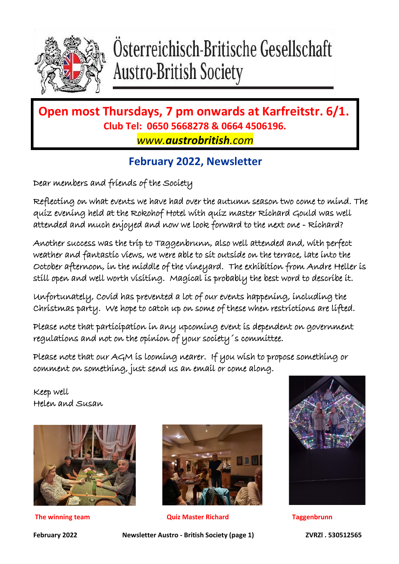

# Osterreichisch-Britische Gesellschaft **Austro-British Society**

### **Open most Thursdays, 7 pm onwards at Karfreitstr. 6/1. Club Tel: 0650 5668278 & 0664 4506196.** *www.austrobritish.com*

### **February 2022, Newsletter**

Dear members and friends of the Society

Reflecting on what events we have had over the autumn season two come to mind. The quiz evening held at the Rokohof Hotel with quiz master Richard Gould was well attended and much enjoyed and now we look forward to the next one - Richard?

Another success was the trip to Taggenbrunn, also well attended and, with perfect weather and fantastic views, we were able to sit outside on the terrace, late into the October afternoon, in the middle of the vineyard. The exhibition from Andre Heller is still open and well worth visiting. Magical is probably the best word to describe it.

Unfortunately, Covid has prevented a lot of our events happening, including the Christmas party. We hope to catch up on some of these when restrictions are lifted.

Please note that participation in any upcoming event is dependent on government regulations and not on the opinion of your society´s committee.

Please note that our AGM is looming nearer. If you wish to propose something or comment on something, just send us an email or come along.

Keep well Helen and Susan





**The winning team Quiz Master Richard Taggenbrunn**



**February 2022 Newsletter Austro - British Society (page 1) ZVRZl . 530512565**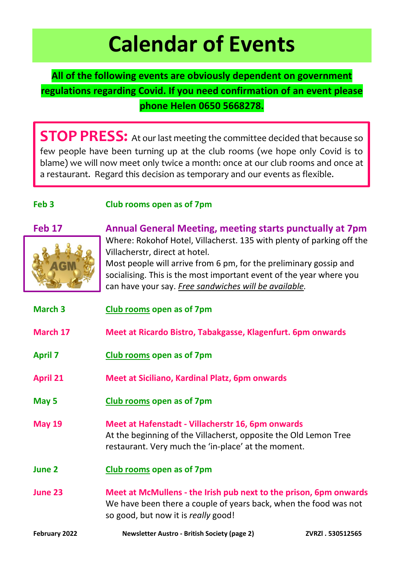# **Calendar of Events**

### **All of the following events are obviously dependent on government regulations regarding Covid. If you need confirmation of an event please phone Helen 0650 5668278.**

**STOP PRESS:** At our last meeting the committee decided that because so few people have been turning up at the club rooms (we hope only Covid is to blame) we will now meet only twice a month: once at our club rooms and once at a restaurant. Regard this decision as temporary and our events as flexible.

### **Feb 3 Club rooms open as of 7pm**



**Feb 17 Annual General Meeting, meeting starts punctually at 7pm** Where: Rokohof Hotel, Villacherst. 135 with plenty of parking off the Villacherstr, direct at hotel.

> Most people will arrive from 6 pm, for the preliminary gossip and socialising. This is the most important event of the year where you can have your say. *Free sandwiches will be available.*

| <b>March 3</b>  | <b>Club rooms open as of 7pm</b>                                                                                                                                             |                 |
|-----------------|------------------------------------------------------------------------------------------------------------------------------------------------------------------------------|-----------------|
| March 17        | Meet at Ricardo Bistro, Tabakgasse, Klagenfurt. 6pm onwards                                                                                                                  |                 |
| <b>April 7</b>  | Club rooms open as of 7pm                                                                                                                                                    |                 |
| <b>April 21</b> | Meet at Siciliano, Kardinal Platz, 6pm onwards                                                                                                                               |                 |
| May 5           | <b>Club rooms open as of 7pm</b>                                                                                                                                             |                 |
| <b>May 19</b>   | Meet at Hafenstadt - Villacherstr 16, 6pm onwards<br>At the beginning of the Villacherst, opposite the Old Lemon Tree<br>restaurant. Very much the 'in-place' at the moment. |                 |
| June 2          | Club rooms open as of 7pm                                                                                                                                                    |                 |
| <b>June 23</b>  | Meet at McMullens - the Irish pub next to the prison, 6pm onwards<br>We have been there a couple of years back, when the food was not<br>so good, but now it is really good! |                 |
| February 2022   | <b>Newsletter Austro - British Society (page 2)</b>                                                                                                                          | ZVRZI.530512565 |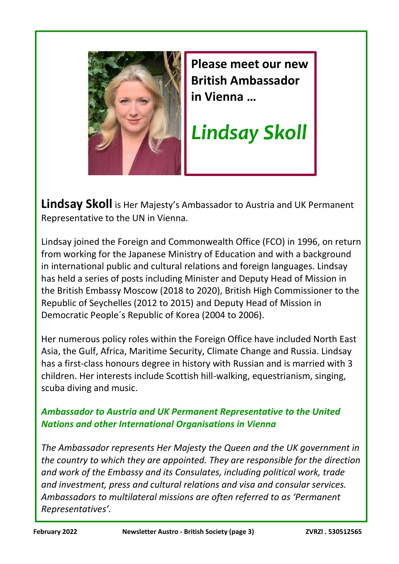

 $\overline{\phantom{a}}$  $\overline{\phantom{a}}$  $\overline{\phantom{a}}$  $\overline{\phantom{a}}$  $\overline{\phantom{a}}$  $\overline{\phantom{a}}$  $\overline{\phantom{a}}$  $\overline{\phantom{a}}$  $\overline{\phantom{a}}$  $\overline{\phantom{a}}$  $\overline{\phantom{a}}$  $\overline{\phantom{a}}$  $\overline{\phantom{a}}$  $\overline{\phantom{a}}$  $\overline{\phantom{a}}$  $\overline{\phantom{a}}$  $\overline{\phantom{a}}$  $\overline{\phantom{a}}$  $\overline{\phantom{a}}$  $\overline{\phantom{a}}$  $\overline{\phantom{a}}$  $\overline{\phantom{a}}$  $\overline{\phantom{a}}$  $\overline{\phantom{a}}$  $\overline{\phantom{a}}$  $\overline{\phantom{a}}$  $\overline{\phantom{a}}$  $\overline{\phantom{a}}$  $\overline{\phantom{a}}$  $\overline{\phantom{a}}$  $\overline{\phantom{a}}$  $\overline{\phantom{a}}$  $\overline{\phantom{a}}$  $\overline{\phantom{a}}$  $\overline{\phantom{a}}$  $\overline{\phantom{a}}$  **Please meet our new British Ambassador in Vienna …**

*Lindsay Skoll*

**Lindsay Skoll** is Her Majesty's Ambassador to Austria and UK Permanent Representative to the UN in Vienna.

Lindsay joined the Foreign and Commonwealth Office (FCO) in 1996, on return from working for the Japanese Ministry of Education and with a background in international public and cultural relations and foreign languages. Lindsay has held a series of posts including Minister and Deputy Head of Mission in the British Embassy Moscow (2018 to 2020), British High Commissioner to the Republic of Seychelles (2012 to 2015) and Deputy Head of Mission in Democratic People´s Republic of Korea (2004 to 2006).

Her numerous policy roles within the Foreign Office have included North East Asia, the Gulf, Africa, Maritime Security, Climate Change and Russia. Lindsay has a first-class honours degree in history with Russian and is married with 3 children. Her interests include Scottish hill-walking, equestrianism, singing, scuba diving and music.

### *Ambassador to Austria and UK Permanent Representative to the United Nations and other International Organisations in Vienna*

*The Ambassador represents Her Majesty the Queen and the UK government in the country to which they are appointed. They are responsible for the direction and work of the Embassy and its Consulates, including political work, trade and investment, press and cultural relations and visa and consular services. Ambassadors to multilateral missions are often referred to as 'Permanent Representatives'.*